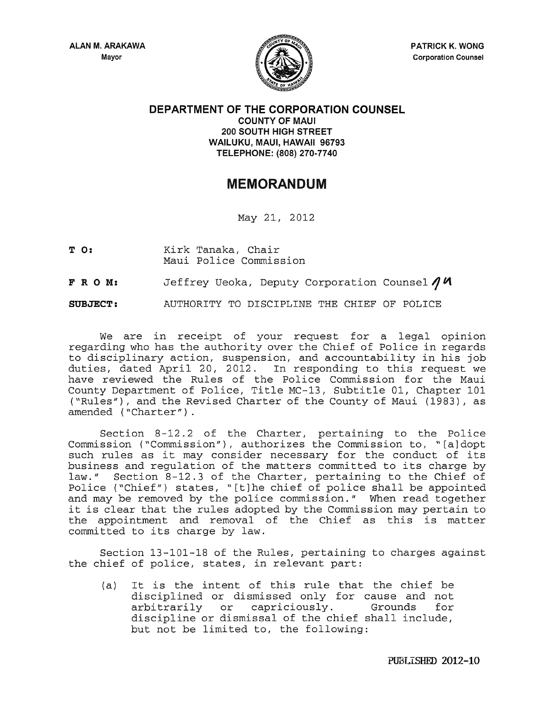

**DEPARTMENT OF THE CORPORATION COUNSEL COUNTY OF MAUl 200 SOUTH HIGH STREET WAILUKU, MAUl, HAWAII 96793 TELEPHONE:** (808) **270·7740** 

## MEMORANDUM

May 21, 2012

- **T 0:**  Kirk Tanaka, Chair Maui Police Commission
- **F R O M:** Jeffrey Ueoka, Deputy Corporation Counsel 10

**SUBJECT:** AUTHORITY TO DISCIPLINE THE CHIEF OF POLICE

We are in receipt of your request for a legal opinion regarding who has the authority over the Chief of Police in regards to disciplinary action, suspension, and accountability in his job duties, dated April 20, 2012. In responding to this request we have reviewed the Rules of the Police Commission for the Maui County Department of Police, Title MC-13, Subtitle 01, Chapter 101 ("Rules"), and the Revised Charter of the County of Maui (1983), as amended ("Charter").

Section 8-12.2 of the Charter, pertaining to the Police Commission ("Commission"), authorizes the Commission to, "[a]dopt such rules as it may consider necessary for the conduct of its business and regulation of the matters committed to its charge by law." Section 8-12.3 of the Charter, pertaining to the Chief of Police ("Chief") states, "[tJhe chief of police shall be appointed and may be removed by the police commission." When read together it is clear that the rules adopted by the Commission may pertain to the appointment and removal of the Chief as this is matter committed to its charge by law.

Section 13-101-18 of the Rules, pertaining to charges against the chief of police, states, in relevant part:

(a) It is the intent of this rule that the chief be disciplined or dismissed only for cause and not<br>arbitrarily or capriciously. Grounds for arbitrarily or capriciously. discipline or dismissal of the chief shall include, but not be limited to, the following: